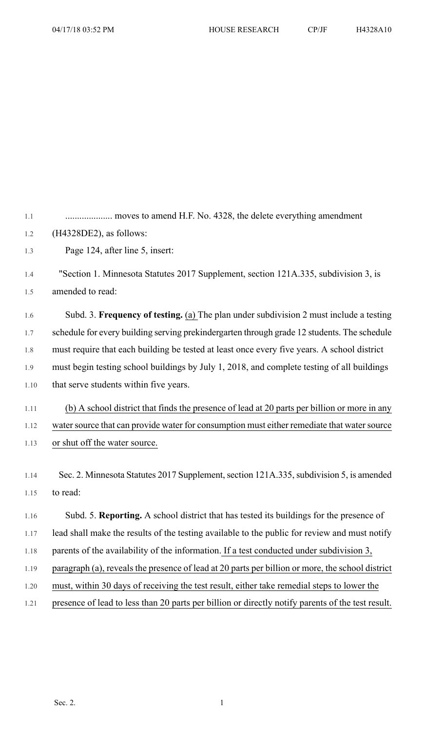1.1 .................... moves to amend H.F. No. 4328, the delete everything amendment 1.2 (H4328DE2), as follows: 1.3 Page 124, after line 5, insert: 1.4 "Section 1. Minnesota Statutes 2017 Supplement, section 121A.335, subdivision 3, is 1.5 amended to read: 1.6 Subd. 3. **Frequency of testing.** (a) The plan under subdivision 2 must include a testing 1.7 schedule for every building serving prekindergarten through grade 12 students. The schedule 1.8 must require that each building be tested at least once every five years. A school district 1.9 must begin testing school buildings by July 1, 2018, and complete testing of all buildings 1.10 that serve students within five years. 1.11 (b) A school district that finds the presence of lead at 20 parts per billion or more in any 1.12 water source that can provide water for consumption must either remediate that water source 1.13 or shut off the water source. 1.14 Sec. 2. Minnesota Statutes 2017 Supplement, section 121A.335, subdivision 5, is amended 1.15 to read: 1.16 Subd. 5. **Reporting.** A school district that has tested its buildings for the presence of 1.17 lead shall make the results of the testing available to the public for review and must notify 1.18 parents of the availability of the information. If a test conducted under subdivision 3,

- 1.19 paragraph (a), reveals the presence of lead at 20 parts per billion or more, the school district
- 1.20 must, within 30 days of receiving the test result, either take remedial steps to lower the
- 1.21 presence of lead to less than 20 parts per billion or directly notify parents of the test result.